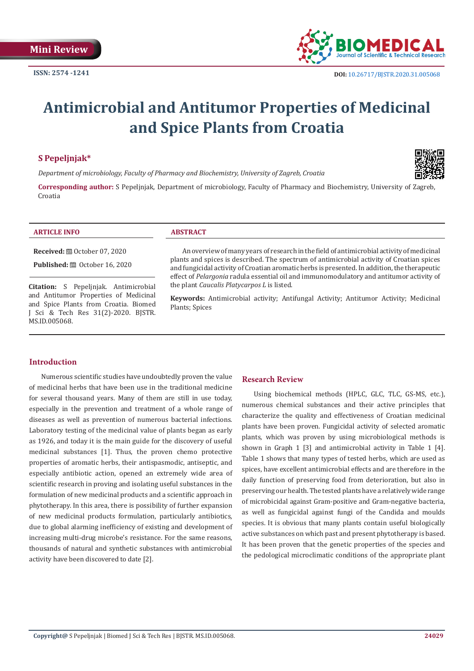

# **Antimicrobial and Antitumor Properties of Medicinal and Spice Plants from Croatia**

# **S Pepeljnjak\***

*Department of microbiology, Faculty of Pharmacy and Biochemistry, University of Zagreb, Croatia*

**Corresponding author:** S Pepeljnjak, Department of microbiology, Faculty of Pharmacy and Biochemistry, University of Zagreb, Croatia

#### **ARTICLE INFO ABSTRACT**

**Received:** ■ October 07, 2020

**Published:** ■ October 16, 2020

**Citation:** S Pepeljnjak. Antimicrobial and Antitumor Properties of Medicinal and Spice Plants from Croatia. Biomed J Sci & Tech Res 31(2)-2020. BJSTR. MS.ID.005068.

An overview of many years of research in the field of antimicrobial activity of medicinal plants and spices is described. The spectrum of antimicrobial activity of Croatian spices and fungicidal activity of Croatian aromatic herbs is presented. In addition, the therapeutic effect of *Pelargonia* radula essential oil and immunomodulatory and antitumor activity of the plant *Caucalis Platycarpos L* is listed.

**Keywords:** Antimicrobial activity; Antifungal Activity; Antitumor Activity; Medicinal Plants; Spices

# **Introduction**

Numerous scientific studies have undoubtedly proven the value of medicinal herbs that have been use in the traditional medicine for several thousand years. Many of them are still in use today, especially in the prevention and treatment of a whole range of diseases as well as prevention of numerous bacterial infections. Laboratory testing of the medicinal value of plants began as early as 1926, and today it is the main guide for the discovery of useful medicinal substances [1]. Thus, the proven chemo protective properties of aromatic herbs, their antispasmodic, antiseptic, and especially antibiotic action, opened an extremely wide area of scientific research in proving and isolating useful substances in the formulation of new medicinal products and a scientific approach in phytotherapy. In this area, there is possibility of further expansion of new medicinal products formulation, particularly antibiotics, due to global alarming inefficiency of existing and development of increasing multi-drug microbe's resistance. For the same reasons, thousands of natural and synthetic substances with antimicrobial activity have been discovered to date [2].

#### **Research Review**

Using biochemical methods (HPLC, GLC, TLC, GS-MS, etc.), numerous chemical substances and their active principles that characterize the quality and effectiveness of Croatian medicinal plants have been proven. Fungicidal activity of selected aromatic plants, which was proven by using microbiological methods is shown in Graph 1 [3] and antimicrobial activity in Table 1 [4]. Table 1 shows that many types of tested herbs, which are used as spices, have excellent antimicrobial effects and are therefore in the daily function of preserving food from deterioration, but also in preserving our health. The tested plants have a relatively wide range of microbicidal against Gram-positive and Gram-negative bacteria, as well as fungicidal against fungi of the Candida and moulds species. It is obvious that many plants contain useful biologically active substances on which past and present phytotherapy is based. It has been proven that the genetic properties of the species and the pedological microclimatic conditions of the appropriate plant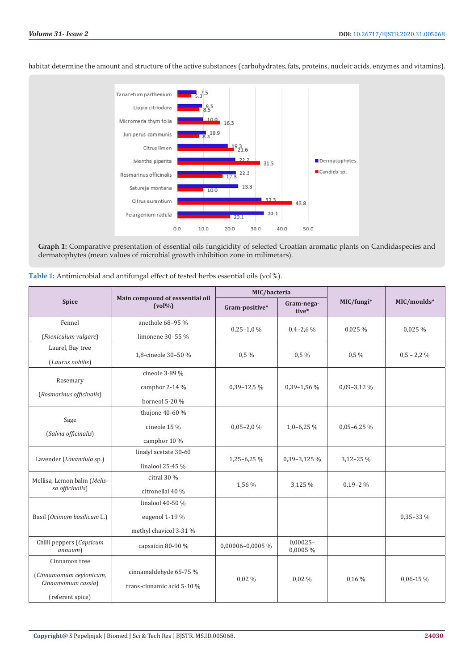

habitat determine the amount and structure of the active substances (carbohydrates, fats, proteins, nucleic acids, enzymes and vitamins).

**Graph 1:** Comparative presentation of essential oils fungicidity of selected Croatian aromatic plants on Candidaspecies and dermatophytes (mean values of microbial growth inhibition zone in milimetars).

| <b>Spice</b>                                   | Main compound of esssential oil<br>$(vol\%)$ | MIC/bacteria     |                         |                 |               |
|------------------------------------------------|----------------------------------------------|------------------|-------------------------|-----------------|---------------|
|                                                |                                              | Gram-positive*   | Gram-nega-<br>tive*     | MIC/fungi*      | MIC/moulds*   |
| Fennel<br>(Foeniculum vulgare)                 | anethole 68-95 %                             | $0,25-1,0%$      | $0,4-2,6\%$             | 0,025 %         | 0,025 %       |
|                                                | limonene 30-55 %                             |                  |                         |                 |               |
| Laurel, Bay tree<br>(Laurus nobilis)           | 1,8-cineole 30-50 %                          | $0.5\%$          | $0.5\%$                 | $0.5\%$         | $0,5 - 2,2\%$ |
| Rosemary<br>(Rosmarinus officinalis)           | cineole 3-89 %                               |                  |                         |                 |               |
|                                                | camphor 2-14 %                               | $0.39 - 12.5\%$  | $0.39 - 1.56\%$         | $0,09-3,12\%$   |               |
|                                                | borneol 5-20 %                               |                  |                         |                 |               |
| Sage<br>(Salvia officinalis)                   | thujone 40-60 %                              |                  |                         |                 |               |
|                                                | cineole 15 %                                 | $0,05-2,0%$      | $1,0-6,25\%$            | $0,05 - 6,25\%$ |               |
|                                                | camphor 10 %                                 |                  |                         |                 |               |
| Lavender (Lavandula sp.)                       | linalyl acetate 30-60                        | 1,25-6,25 %      | 0,39-3,125 %            | $3,12 - 25\%$   |               |
|                                                | linalool 25-45 %                             |                  |                         |                 |               |
| Mellisa, Lemon balm (Melis-<br>sa officinalis) | citral 30 %                                  | 1,56 %           | 3,125 %                 | $0.19 - 2\%$    |               |
|                                                | citronellal 40 %                             |                  |                         |                 |               |
| Basil (Ocimum basilicum L.)                    | linalool 40-50 %                             |                  |                         |                 |               |
|                                                | eugenol 1-19 %                               |                  |                         |                 | $0,35-33\%$   |
|                                                | methyl chavicol 3-31 %                       |                  |                         |                 |               |
| Chilli peppers (Capsicum<br>annuum)            | capsaicin 80-90 %                            | 0,00006-0,0005 % | $0,00025 -$<br>0,0005 % |                 |               |
| Cinnamon tree                                  |                                              |                  |                         |                 |               |
| (Cinnamomum ceylonicum,<br>Cinnamomum cassia)  | cinnamaldehyde 65-75 %                       | $0.02\%$         | $0.02\%$                | $0.16\%$        | $0.06 - 15\%$ |
|                                                | trans-cinnamic acid 5-10 %                   |                  |                         |                 |               |
| (referent spice)                               |                                              |                  |                         |                 |               |

**Table 1:** Antimicrobial and antifungal effect of tested herbs essential oils (vol%).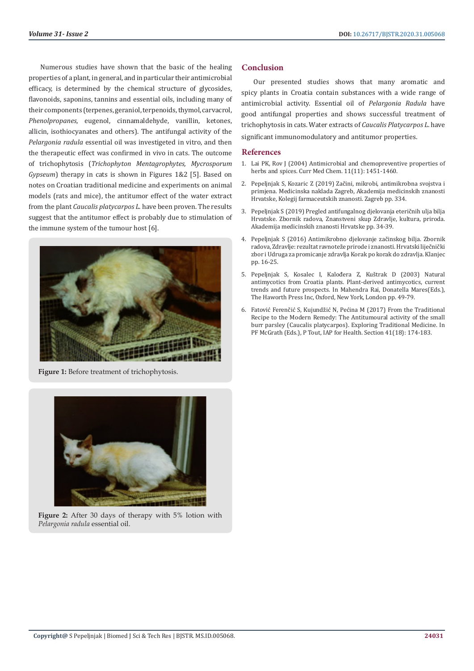Numerous studies have shown that the basic of the healing properties of a plant, in general, and in particular their antimicrobial efficacy, is determined by the chemical structure of glycosides, flavonoids, saponins, tannins and essential oils, including many of their components (terpenes, geraniol, terpenoids, thymol, carvacrol, *Phenolpropanes*, eugenol, cinnamaldehyde, vanillin, ketones, allicin, isothiocyanates and others). The antifungal activity of the *Pelargonia radula* essential oil was investigeted in vitro, and then the therapeutic effect was confirmed in vivo in cats. The outcome of trichophytosis (*Trichophyton Mentagrophytes, Mycrosporum Gypseum*) therapy in cats is shown in Figures 1&2 [5]. Based on notes on Croatian traditional medicine and experiments on animal models (rats and mice), the antitumor effect of the water extract from the plant *Caucalis platycarpos L*. have been proven. The results suggest that the antitumor effect is probably due to stimulation of the immune system of the tumour host [6].



**Figure 1:** Before treatment of trichophytosis.



**Figure 2:** After 30 days of therapy with 5% lotion with *Pelargonia radula* essential oil.

# **Conclusion**

Our presented studies shows that many aromatic and spicy plants in Croatia contain substances with a wide range of antimicrobial activity. Essential oil of *Pelargonia Radula* have good antifungal properties and shows successful treatment of trichophytosis in cats. Water extracts of *Caucalis Platycarpos L*. have significant immunomodulatory and antitumor properties.

### **References**

- 1. [Lai PK, Rov J \(2004\) Antimicrobial and chemopreventive properties of](https://www.researchgate.net/publication/8525515_Antimicrobial_and_Chemopreventive_Properties_of_Herbs_and_Spices) [herbs and spices. Curr Med Chem. 11\(11\): 1451-1460.](https://www.researchgate.net/publication/8525515_Antimicrobial_and_Chemopreventive_Properties_of_Herbs_and_Spices)
- 2. [Pepeljnjak S, Kozaric Z \(2019\) Začini, mikrobi, antimikrobna svojstva i](https://mvinfo.hr/knjiga/12843/zacini-mikrobi-antimikrobna-svojstva-i-primjena) [primjena. Medicinska naklada Zagreb, Akademija medicinskih znanosti](https://mvinfo.hr/knjiga/12843/zacini-mikrobi-antimikrobna-svojstva-i-primjena) [Hrvatske, Kolegij farmaceutskih znanosti. Zagreb pp. 334.](https://mvinfo.hr/knjiga/12843/zacini-mikrobi-antimikrobna-svojstva-i-primjena)
- 3. Pepeljnjak S (2019) Pregled antifungalnog djelovanja eteričnih ulja bilja Hrvatske. Zbornik radova, Znanstveni skup Zdravlje, kultura, priroda. Akademija medicinskih znanosti Hrvatske pp. 34-39.
- 4. Pepeljnjak S (2016) Antimikrobno djelovanje začinskog bilja. Zbornik radova, Zdravlje: rezultat ravnoteže prirode i znanosti. Hrvatski liječnički zbor i Udruga za promicanje zdravlja Korak po korak do zdravlja. Klanjec pp. 16-25.
- 5. Pepeljnjak S, Kosalec I, Kalođera Z, Kuštrak D (2003) Natural antimycotics from Croatia plants. Plant-derived antimycotics, current trends and future prospects. In Mahendra Rai, Donatella Mares(Eds.), The Haworth Press Inc, Oxford, New York, London pp. 49-79.
- 6. Fatović Ferenčić S, Kujundžić N, Pećina M (2017) From the Traditional Recipe to the Modern Remedy: The Antitumoural activity of the small burr parsley (Caucalis platycarpos). Exploring Traditional Medicine. In PF McGrath (Eds.), P Tout, IAP for Health. Section 41(18): 174-183.